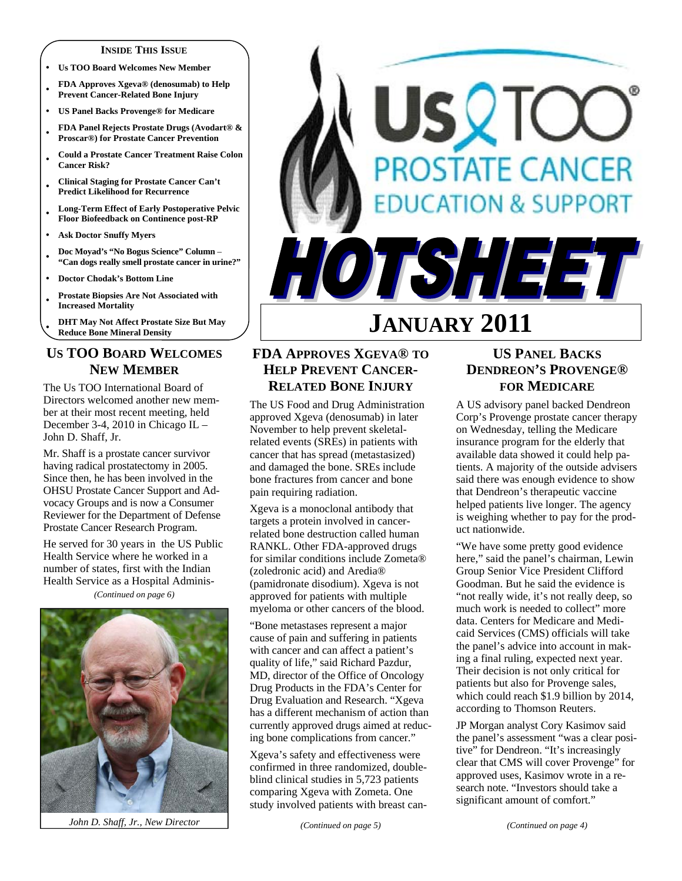#### **INSIDE THIS ISSUE**

- **Us TOO Board Welcomes New Member**
- **FDA Approves Xgeva® (denosumab) to Help Prevent Cancer-Related Bone Injury**
- **US Panel Backs Provenge® for Medicare**
- **FDA Panel Rejects Prostate Drugs (Avodart® & Proscar®) for Prostate Cancer Prevention**
- **Could a Prostate Cancer Treatment Raise Colon Cancer Risk?**
- **Clinical Staging for Prostate Cancer Can't Predict Likelihood for Recurrence**
- **Long-Term Effect of Early Postoperative Pelvic Floor Biofeedback on Continence post-RP**
- **Ask Doctor Snuffy Myers**
- **Doc Moyad's "No Bogus Science" Column "Can dogs really smell prostate cancer in urine?"**
- **Doctor Chodak's Bottom Line**
- **Prostate Biopsies Are Not Associated with Increased Mortality**
- **DHT May Not Affect Prostate Size But May Reduce Bone Mineral Density**

# **US TOO BOARD WELCOMES NEW MEMBER**

The Us TOO International Board of Directors welcomed another new member at their most recent meeting, held December 3-4, 2010 in Chicago IL – John D. Shaff, Jr.

Mr. Shaff is a prostate cancer survivor having radical prostatectomy in 2005. Since then, he has been involved in the OHSU Prostate Cancer Support and Advocacy Groups and is now a Consumer Reviewer for the Department of Defense Prostate Cancer Research Program.

He served for 30 years in the US Public Health Service where he worked in a number of states, first with the Indian Health Service as a Hospital Adminis-

*(Continued on page 6)* 



*John D. Shaff, Jr., New Director* 

# USQTO **PROSTATE CANCER DUCATION & SUPPORT** OTSHEET

# **JANUARY 2011**

# **FDA APPROVES XGEVA® TO HELP PREVENT CANCER-RELATED BONE INJURY**

The US Food and Drug Administration approved Xgeva (denosumab) in later November to help prevent skeletalrelated events (SREs) in patients with cancer that has spread (metastasized) and damaged the bone. SREs include bone fractures from cancer and bone pain requiring radiation.

Xgeva is a monoclonal antibody that targets a protein involved in cancerrelated bone destruction called human RANKL. Other FDA-approved drugs for similar conditions include Zometa® (zoledronic acid) and Aredia® (pamidronate disodium). Xgeva is not approved for patients with multiple myeloma or other cancers of the blood.

"Bone metastases represent a major cause of pain and suffering in patients with cancer and can affect a patient's quality of life," said Richard Pazdur, MD, director of the Office of Oncology Drug Products in the FDA's Center for Drug Evaluation and Research. "Xgeva has a different mechanism of action than currently approved drugs aimed at reducing bone complications from cancer."

Xgeva's safety and effectiveness were confirmed in three randomized, doubleblind clinical studies in 5,723 patients comparing Xgeva with Zometa. One study involved patients with breast can-

*(Continued on page 5)* 

# **US PANEL BACKS DENDREON'S PROVENGE® FOR MEDICARE**

A US advisory panel backed Dendreon Corp's Provenge prostate cancer therapy on Wednesday, telling the Medicare insurance program for the elderly that available data showed it could help patients. A majority of the outside advisers said there was enough evidence to show that Dendreon's therapeutic vaccine helped patients live longer. The agency is weighing whether to pay for the product nationwide.

"We have some pretty good evidence here," said the panel's chairman, Lewin Group Senior Vice President Clifford Goodman. But he said the evidence is "not really wide, it's not really deep, so much work is needed to collect" more data. Centers for Medicare and Medicaid Services (CMS) officials will take the panel's advice into account in making a final ruling, expected next year. Their decision is not only critical for patients but also for Provenge sales, which could reach \$1.9 billion by 2014, according to Thomson Reuters.

JP Morgan analyst Cory Kasimov said the panel's assessment "was a clear positive" for Dendreon. "It's increasingly clear that CMS will cover Provenge" for approved uses, Kasimov wrote in a research note. "Investors should take a significant amount of comfort."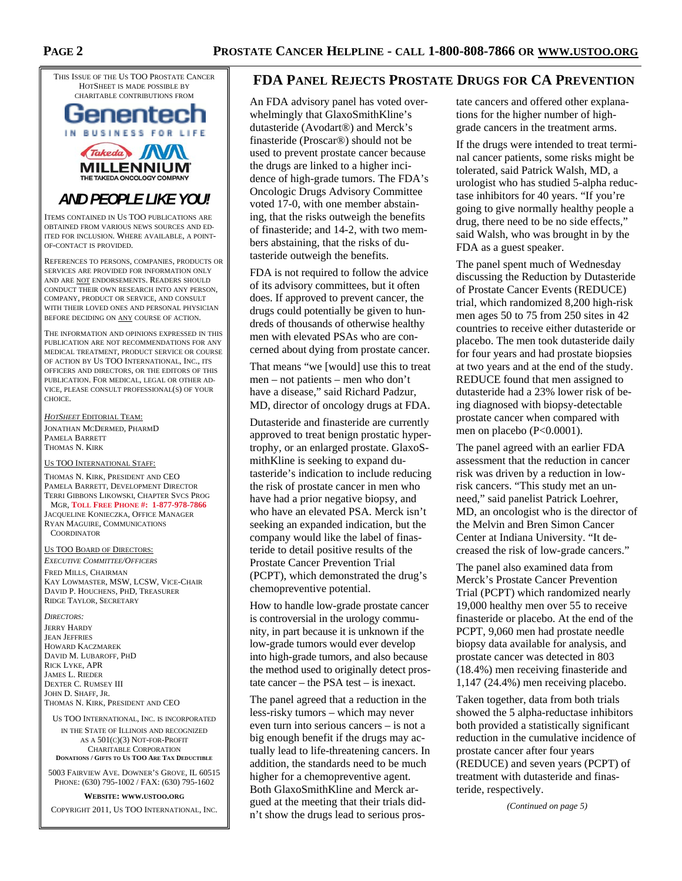THIS ISSUE OF THE US TOO PROSTATE CANCER HOTSHEET IS MADE POSSIBLE BY CHARITABLE CONTRIBUTIONS FROM



**MILLENNIUM** THE TAKEDA ONCOLOGY COM

# *AND PEOPLE LIKE YOU!*

ITEMS CONTAINED IN US TOO PUBLICATIONS ARE OBTAINED FROM VARIOUS NEWS SOURCES AND ED-ITED FOR INCLUSION. WHERE AVAILABLE, A POINT-OF-CONTACT IS PROVIDED.

REFERENCES TO PERSONS, COMPANIES, PRODUCTS OR SERVICES ARE PROVIDED FOR INFORMATION ONLY AND ARE NOT ENDORSEMENTS. READERS SHOULD CONDUCT THEIR OWN RESEARCH INTO ANY PERSON, COMPANY, PRODUCT OR SERVICE, AND CONSULT WITH THEIR LOVED ONES AND PERSONAL PHYSICIAN BEFORE DECIDING ON ANY COURSE OF ACTION.

THE INFORMATION AND OPINIONS EXPRESSED IN THIS PUBLICATION ARE NOT RECOMMENDATIONS FOR ANY MEDICAL TREATMENT, PRODUCT SERVICE OR COURSE OF ACTION BY US TOO INTERNATIONAL, INC., ITS OFFICERS AND DIRECTORS, OR THE EDITORS OF THIS PUBLICATION. FOR MEDICAL, LEGAL OR OTHER AD-VICE, PLEASE CONSULT PROFESSIONAL(S) OF YOUR CHOICE.

*HOTSHEET* EDITORIAL TEAM: JONATHAN MCDERMED, PHARMD PAMELA BARRETT THOMAS N. KIRK

#### US TOO INTERNATIONAL STAFF:

THOMAS N. KIRK, PRESIDENT AND CEO PAMELA BARRETT, DEVELOPMENT DIRECTOR TERRI GIBBONS LIKOWSKI, CHAPTER SVCS PROG MGR, **TOLL FREE PHONE #: 1-877-978-7866** JACQUELINE KONIECZKA, OFFICE MANAGER RYAN MAGUIRE, COMMUNICATIONS **COORDINATOR** 

#### US TOO BOARD OF DIRECTORS:

*EXECUTIVE COMMITTEE/OFFICERS* FRED MILLS, CHAIRMAN KAY LOWMASTER, MSW, LCSW, VICE-CHAIR DAVID P. HOUCHENS, PHD, TREASURER RIDGE TAYLOR, SECRETARY

*DIRECTORS:* 

JERRY HARDY JEAN JEFFRIES HOWARD KACZMAREK DAVID M. LUBAROFF, PHD RICK LYKE, APR JAMES L. RIEDER DEXTER C. RUMSEY III JOHN D. SHAFF, JR. THOMAS N. KIRK, PRESIDENT AND CEO

US TOO INTERNATIONAL, INC. IS INCORPORATED IN THE STATE OF ILLINOIS AND RECOGNIZED AS A 501(C)(3) NOT-FOR-PROFIT CHARITABLE CORPORATION **DONATIONS / GIFTS TO US TOO ARE TAX DEDUCTIBLE**

5003 FAIRVIEW AVE. DOWNER'S GROVE, IL 60515 PHONE: (630) 795-1002 / FAX: (630) 795-1602

#### **WEBSITE: WWW.USTOO.ORG**

COPYRIGHT 2011, US TOO INTERNATIONAL, INC.

#### **FDA PANEL REJECTS PROSTATE DRUGS FOR CA PREVENTION**

An FDA advisory panel has voted overwhelmingly that GlaxoSmithKline's dutasteride (Avodart®) and Merck's finasteride (Proscar®) should not be used to prevent prostate cancer because the drugs are linked to a higher incidence of high-grade tumors. The FDA's Oncologic Drugs Advisory Committee voted 17-0, with one member abstaining, that the risks outweigh the benefits of finasteride; and 14-2, with two members abstaining, that the risks of dutasteride outweigh the benefits.

FDA is not required to follow the advice of its advisory committees, but it often does. If approved to prevent cancer, the drugs could potentially be given to hundreds of thousands of otherwise healthy men with elevated PSAs who are concerned about dying from prostate cancer.

That means "we [would] use this to treat men – not patients – men who don't have a disease," said Richard Padzur, MD, director of oncology drugs at FDA.

Dutasteride and finasteride are currently approved to treat benign prostatic hypertrophy, or an enlarged prostate. GlaxoSmithKline is seeking to expand dutasteride's indication to include reducing the risk of prostate cancer in men who have had a prior negative biopsy, and who have an elevated PSA. Merck isn't seeking an expanded indication, but the company would like the label of finasteride to detail positive results of the Prostate Cancer Prevention Trial (PCPT), which demonstrated the drug's chemopreventive potential.

How to handle low-grade prostate cancer is controversial in the urology community, in part because it is unknown if the low-grade tumors would ever develop into high-grade tumors, and also because the method used to originally detect prostate cancer – the PSA test – is inexact.

The panel agreed that a reduction in the less-risky tumors – which may never even turn into serious cancers – is not a big enough benefit if the drugs may actually lead to life-threatening cancers. In addition, the standards need to be much higher for a chemopreventive agent. Both GlaxoSmithKline and Merck argued at the meeting that their trials didn't show the drugs lead to serious pros-

tate cancers and offered other explanations for the higher number of highgrade cancers in the treatment arms.

If the drugs were intended to treat terminal cancer patients, some risks might be tolerated, said Patrick Walsh, MD, a urologist who has studied 5-alpha reductase inhibitors for 40 years. "If you're going to give normally healthy people a drug, there need to be no side effects," said Walsh, who was brought in by the FDA as a guest speaker.

The panel spent much of Wednesday discussing the Reduction by Dutasteride of Prostate Cancer Events (REDUCE) trial, which randomized 8,200 high-risk men ages 50 to 75 from 250 sites in 42 countries to receive either dutasteride or placebo. The men took dutasteride daily for four years and had prostate biopsies at two years and at the end of the study. REDUCE found that men assigned to dutasteride had a 23% lower risk of being diagnosed with biopsy-detectable prostate cancer when compared with men on placebo (P<0.0001).

The panel agreed with an earlier FDA assessment that the reduction in cancer risk was driven by a reduction in lowrisk cancers. "This study met an unneed," said panelist Patrick Loehrer, MD, an oncologist who is the director of the Melvin and Bren Simon Cancer Center at Indiana University. "It decreased the risk of low-grade cancers."

The panel also examined data from Merck's Prostate Cancer Prevention Trial (PCPT) which randomized nearly 19,000 healthy men over 55 to receive finasteride or placebo. At the end of the PCPT, 9,060 men had prostate needle biopsy data available for analysis, and prostate cancer was detected in 803 (18.4%) men receiving finasteride and 1,147 (24.4%) men receiving placebo.

Taken together, data from both trials showed the 5 alpha-reductase inhibitors both provided a statistically significant reduction in the cumulative incidence of prostate cancer after four years (REDUCE) and seven years (PCPT) of treatment with dutasteride and finasteride, respectively.

*(Continued on page 5)*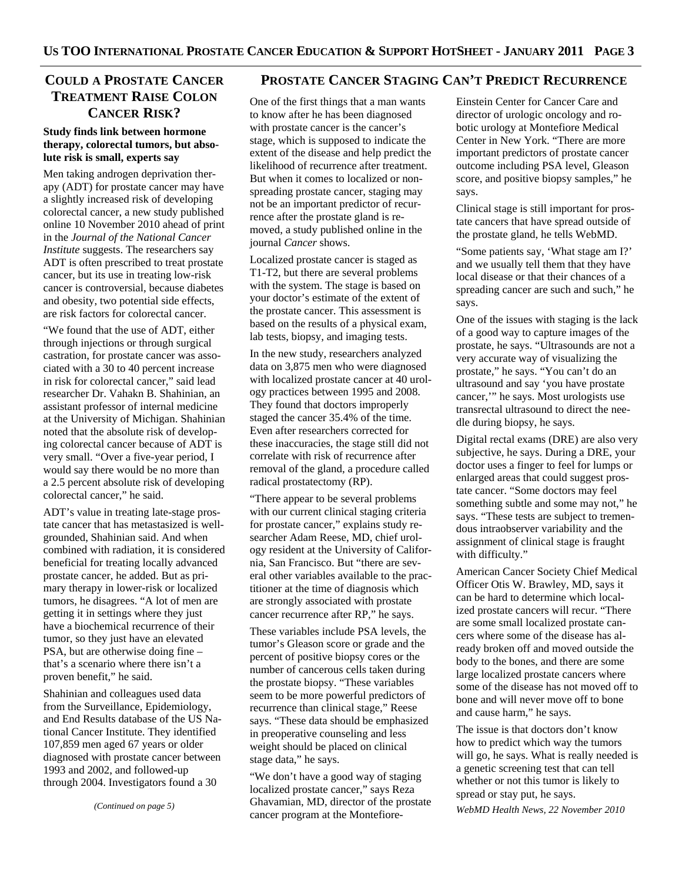# **TREATMENT RAISE COLON CANCER RISK?**

#### **Study finds link between hormone therapy, colorectal tumors, but absolute risk is small, experts say**

Men taking androgen deprivation therapy (ADT) for prostate cancer may have a slightly increased risk of developing colorectal cancer, a new study published online 10 November 2010 ahead of print in the *Journal of the National Cancer Institute* suggests. The researchers say ADT is often prescribed to treat prostate cancer, but its use in treating low-risk cancer is controversial, because diabetes and obesity, two potential side effects, are risk factors for colorectal cancer.

"We found that the use of ADT, either through injections or through surgical castration, for prostate cancer was associated with a 30 to 40 percent increase in risk for colorectal cancer," said lead researcher Dr. Vahakn B. Shahinian, an assistant professor of internal medicine at the University of Michigan. Shahinian noted that the absolute risk of developing colorectal cancer because of ADT is very small. "Over a five-year period, I would say there would be no more than a 2.5 percent absolute risk of developing colorectal cancer," he said.

ADT's value in treating late-stage prostate cancer that has metastasized is wellgrounded, Shahinian said. And when combined with radiation, it is considered beneficial for treating locally advanced prostate cancer, he added. But as primary therapy in lower-risk or localized tumors, he disagrees. "A lot of men are getting it in settings where they just have a biochemical recurrence of their tumor, so they just have an elevated PSA, but are otherwise doing fine – that's a scenario where there isn't a proven benefit," he said.

Shahinian and colleagues used data from the Surveillance, Epidemiology, and End Results database of the US National Cancer Institute. They identified 107,859 men aged 67 years or older diagnosed with prostate cancer between 1993 and 2002, and followed-up through 2004. Investigators found a 30

*(Continued on page 5)* 

# **COULD A PROSTATE CANCER PROSTATE CANCER STAGING CAN'T PREDICT RECURRENCE**

One of the first things that a man wants to know after he has been diagnosed with prostate cancer is the cancer's stage, which is supposed to indicate the extent of the disease and help predict the likelihood of recurrence after treatment. But when it comes to localized or nonspreading prostate cancer, staging may not be an important predictor of recurrence after the prostate gland is removed, a study published online in the journal *Cancer* shows.

Localized prostate cancer is staged as T1-T2, but there are several problems with the system. The stage is based on your doctor's estimate of the extent of the prostate cancer. This assessment is based on the results of a physical exam, lab tests, biopsy, and imaging tests.

In the new study, researchers analyzed data on 3,875 men who were diagnosed with localized prostate cancer at 40 urology practices between 1995 and 2008. They found that doctors improperly staged the cancer 35.4% of the time. Even after researchers corrected for these inaccuracies, the stage still did not correlate with risk of recurrence after removal of the gland, a procedure called radical prostatectomy (RP).

"There appear to be several problems with our current clinical staging criteria for prostate cancer," explains study researcher Adam Reese, MD, chief urology resident at the University of California, San Francisco. But "there are several other variables available to the practitioner at the time of diagnosis which are strongly associated with prostate cancer recurrence after RP," he says.

These variables include PSA levels, the tumor's Gleason score or grade and the percent of positive biopsy cores or the number of cancerous cells taken during the prostate biopsy. "These variables seem to be more powerful predictors of recurrence than clinical stage," Reese says. "These data should be emphasized in preoperative counseling and less weight should be placed on clinical stage data," he says.

"We don't have a good way of staging localized prostate cancer," says Reza Ghavamian, MD, director of the prostate cancer program at the Montefiore-

Einstein Center for Cancer Care and director of urologic oncology and robotic urology at Montefiore Medical Center in New York. "There are more important predictors of prostate cancer outcome including PSA level, Gleason score, and positive biopsy samples," he says.

Clinical stage is still important for prostate cancers that have spread outside of the prostate gland, he tells WebMD.

"Some patients say, 'What stage am I?' and we usually tell them that they have local disease or that their chances of a spreading cancer are such and such," he says.

One of the issues with staging is the lack of a good way to capture images of the prostate, he says. "Ultrasounds are not a very accurate way of visualizing the prostate," he says. "You can't do an ultrasound and say 'you have prostate cancer,'" he says. Most urologists use transrectal ultrasound to direct the needle during biopsy, he says.

Digital rectal exams (DRE) are also very subjective, he says. During a DRE, your doctor uses a finger to feel for lumps or enlarged areas that could suggest prostate cancer. "Some doctors may feel something subtle and some may not," he says. "These tests are subject to tremendous intraobserver variability and the assignment of clinical stage is fraught with difficulty."

American Cancer Society Chief Medical Officer Otis W. Brawley, MD, says it can be hard to determine which localized prostate cancers will recur. "There are some small localized prostate cancers where some of the disease has already broken off and moved outside the body to the bones, and there are some large localized prostate cancers where some of the disease has not moved off to bone and will never move off to bone and cause harm," he says.

The issue is that doctors don't know how to predict which way the tumors will go, he says. What is really needed is a genetic screening test that can tell whether or not this tumor is likely to spread or stay put, he says.

*WebMD Health News, 22 November 2010*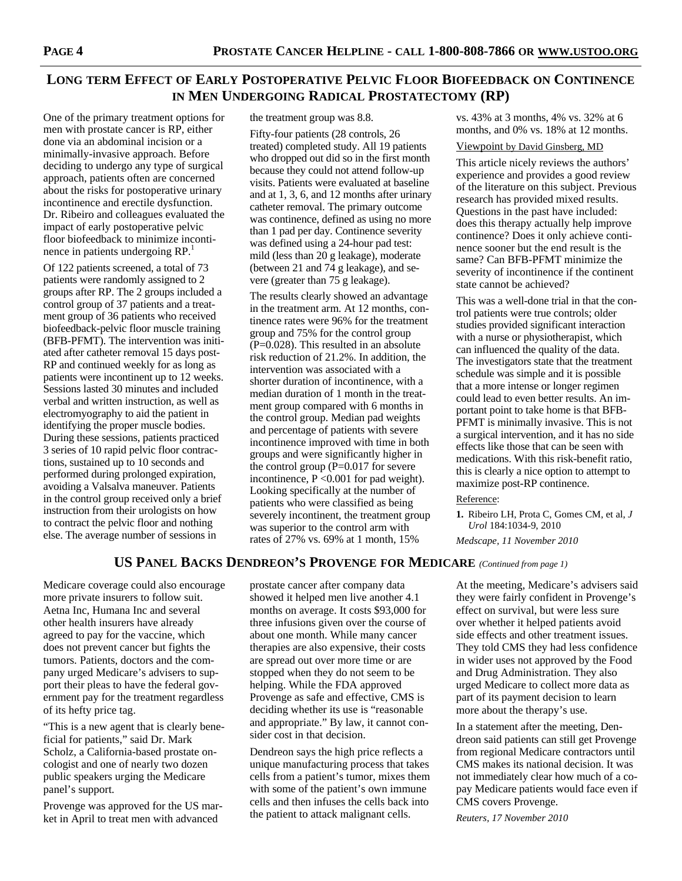# **LONG TERM EFFECT OF EARLY POSTOPERATIVE PELVIC FLOOR BIOFEEDBACK ON CONTINENCE IN MEN UNDERGOING RADICAL PROSTATECTOMY (RP)**

One of the primary treatment options for men with prostate cancer is RP, either done via an abdominal incision or a minimally-invasive approach. Before deciding to undergo any type of surgical approach, patients often are concerned about the risks for postoperative urinary incontinence and erectile dysfunction. Dr. Ribeiro and colleagues evaluated the impact of early postoperative pelvic floor biofeedback to minimize incontinence in patients undergoing RP.<sup>1</sup>

Of 122 patients screened, a total of 73 patients were randomly assigned to 2 groups after RP. The 2 groups included a control group of 37 patients and a treatment group of 36 patients who received biofeedback-pelvic floor muscle training (BFB-PFMT). The intervention was initiated after catheter removal 15 days post-RP and continued weekly for as long as patients were incontinent up to 12 weeks. Sessions lasted 30 minutes and included verbal and written instruction, as well as electromyography to aid the patient in identifying the proper muscle bodies. During these sessions, patients practiced 3 series of 10 rapid pelvic floor contractions, sustained up to 10 seconds and performed during prolonged expiration, avoiding a Valsalva maneuver. Patients in the control group received only a brief instruction from their urologists on how to contract the pelvic floor and nothing else. The average number of sessions in

the treatment group was 8.8.

Fifty-four patients (28 controls, 26 treated) completed study. All 19 patients who dropped out did so in the first month because they could not attend follow-up visits. Patients were evaluated at baseline and at 1, 3, 6, and 12 months after urinary catheter removal. The primary outcome was continence, defined as using no more than 1 pad per day. Continence severity was defined using a 24-hour pad test: mild (less than 20 g leakage), moderate (between 21 and 74 g leakage), and severe (greater than 75 g leakage).

The results clearly showed an advantage in the treatment arm. At 12 months, continence rates were 96% for the treatment group and 75% for the control group (P=0.028). This resulted in an absolute risk reduction of 21.2%. In addition, the intervention was associated with a shorter duration of incontinence, with a median duration of 1 month in the treatment group compared with 6 months in the control group. Median pad weights and percentage of patients with severe incontinence improved with time in both groups and were significantly higher in the control group  $(P=0.017)$  for severe incontinence, P <0.001 for pad weight). Looking specifically at the number of patients who were classified as being severely incontinent, the treatment group was superior to the control arm with rates of 27% vs. 69% at 1 month, 15%

vs. 43% at 3 months, 4% vs. 32% at 6 months, and 0% vs. 18% at 12 months.

#### Viewpoint by David Ginsberg, MD

This article nicely reviews the authors' experience and provides a good review of the literature on this subject. Previous research has provided mixed results. Questions in the past have included: does this therapy actually help improve continence? Does it only achieve continence sooner but the end result is the same? Can BFB-PFMT minimize the severity of incontinence if the continent state cannot be achieved?

This was a well-done trial in that the control patients were true controls; older studies provided significant interaction with a nurse or physiotherapist, which can influenced the quality of the data. The investigators state that the treatment schedule was simple and it is possible that a more intense or longer regimen could lead to even better results. An important point to take home is that BFB-PFMT is minimally invasive. This is not a surgical intervention, and it has no side effects like those that can be seen with medications. With this risk-benefit ratio, this is clearly a nice option to attempt to maximize post-RP continence.

#### Reference:

**1.** Ribeiro LH, Prota C, Gomes CM, et al, *J Urol* 184:1034-9, 2010

*Medscape, 11 November 2010* 

### **US PANEL BACKS DENDREON'S PROVENGE FOR MEDICARE** *(Continued from page 1)*

Medicare coverage could also encourage more private insurers to follow suit. Aetna Inc, Humana Inc and several other health insurers have already agreed to pay for the vaccine, which does not prevent cancer but fights the tumors. Patients, doctors and the company urged Medicare's advisers to support their pleas to have the federal government pay for the treatment regardless of its hefty price tag.

"This is a new agent that is clearly beneficial for patients," said Dr. Mark Scholz, a California-based prostate oncologist and one of nearly two dozen public speakers urging the Medicare panel's support.

Provenge was approved for the US market in April to treat men with advanced

prostate cancer after company data showed it helped men live another 4.1 months on average. It costs \$93,000 for three infusions given over the course of about one month. While many cancer therapies are also expensive, their costs are spread out over more time or are stopped when they do not seem to be helping. While the FDA approved Provenge as safe and effective, CMS is deciding whether its use is "reasonable and appropriate." By law, it cannot consider cost in that decision.

Dendreon says the high price reflects a unique manufacturing process that takes cells from a patient's tumor, mixes them with some of the patient's own immune cells and then infuses the cells back into the patient to attack malignant cells.

At the meeting, Medicare's advisers said they were fairly confident in Provenge's effect on survival, but were less sure over whether it helped patients avoid side effects and other treatment issues. They told CMS they had less confidence in wider uses not approved by the Food and Drug Administration. They also urged Medicare to collect more data as part of its payment decision to learn more about the therapy's use.

In a statement after the meeting, Dendreon said patients can still get Provenge from regional Medicare contractors until CMS makes its national decision. It was not immediately clear how much of a copay Medicare patients would face even if CMS covers Provenge.

*Reuters, 17 November 2010*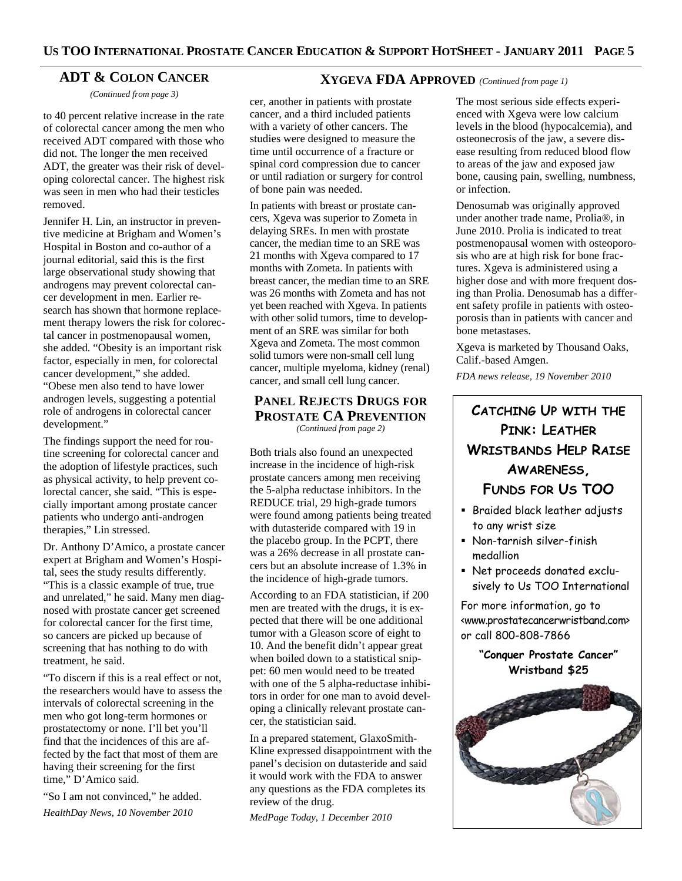#### **ADT & COLON CANCER**

*(Continued from page 3)* 

to 40 percent relative increase in the rate of colorectal cancer among the men who received ADT compared with those who did not. The longer the men received ADT, the greater was their risk of developing colorectal cancer. The highest risk was seen in men who had their testicles removed.

Jennifer H. Lin, an instructor in preventive medicine at Brigham and Women's Hospital in Boston and co-author of a journal editorial, said this is the first large observational study showing that androgens may prevent colorectal cancer development in men. Earlier research has shown that hormone replacement therapy lowers the risk for colorectal cancer in postmenopausal women, she added. "Obesity is an important risk factor, especially in men, for colorectal cancer development," she added. "Obese men also tend to have lower androgen levels, suggesting a potential role of androgens in colorectal cancer development."

The findings support the need for routine screening for colorectal cancer and the adoption of lifestyle practices, such as physical activity, to help prevent colorectal cancer, she said. "This is especially important among prostate cancer patients who undergo anti-androgen therapies," Lin stressed.

Dr. Anthony D'Amico, a prostate cancer expert at Brigham and Women's Hospital, sees the study results differently. "This is a classic example of true, true and unrelated," he said. Many men diagnosed with prostate cancer get screened for colorectal cancer for the first time, so cancers are picked up because of screening that has nothing to do with treatment, he said.

"To discern if this is a real effect or not, the researchers would have to assess the intervals of colorectal screening in the men who got long-term hormones or prostatectomy or none. I'll bet you'll find that the incidences of this are affected by the fact that most of them are having their screening for the first time," D'Amico said.

"So I am not convinced," he added. *HealthDay News, 10 November 2010* 

#### **XYGEVA FDA APPROVED** *(Continued from page 1)*

cer, another in patients with prostate cancer, and a third included patients with a variety of other cancers. The studies were designed to measure the time until occurrence of a fracture or spinal cord compression due to cancer or until radiation or surgery for control of bone pain was needed.

In patients with breast or prostate cancers, Xgeva was superior to Zometa in delaying SREs. In men with prostate cancer, the median time to an SRE was 21 months with Xgeva compared to 17 months with Zometa. In patients with breast cancer, the median time to an SRE was 26 months with Zometa and has not yet been reached with Xgeva. In patients with other solid tumors, time to development of an SRE was similar for both Xgeva and Zometa. The most common solid tumors were non-small cell lung cancer, multiple myeloma, kidney (renal) cancer, and small cell lung cancer.

#### **PANEL REJECTS DRUGS FOR PROSTATE CA PREVENTION** *(Continued from page 2)*

Both trials also found an unexpected increase in the incidence of high-risk prostate cancers among men receiving the 5-alpha reductase inhibitors. In the REDUCE trial, 29 high-grade tumors were found among patients being treated with dutasteride compared with 19 in the placebo group. In the PCPT, there was a 26% decrease in all prostate cancers but an absolute increase of 1.3% in the incidence of high-grade tumors.

According to an FDA statistician, if 200 men are treated with the drugs, it is expected that there will be one additional tumor with a Gleason score of eight to 10. And the benefit didn't appear great when boiled down to a statistical snippet: 60 men would need to be treated with one of the 5 alpha-reductase inhibitors in order for one man to avoid developing a clinically relevant prostate cancer, the statistician said.

In a prepared statement, GlaxoSmith-Kline expressed disappointment with the panel's decision on dutasteride and said it would work with the FDA to answer any questions as the FDA completes its review of the drug.

*MedPage Today, 1 December 2010* 

The most serious side effects experienced with Xgeva were low calcium levels in the blood (hypocalcemia), and osteonecrosis of the jaw, a severe disease resulting from reduced blood flow to areas of the jaw and exposed jaw bone, causing pain, swelling, numbness, or infection.

Denosumab was originally approved under another trade name, Prolia®, in June 2010. Prolia is indicated to treat postmenopausal women with osteoporosis who are at high risk for bone fractures. Xgeva is administered using a higher dose and with more frequent dosing than Prolia. Denosumab has a different safety profile in patients with osteoporosis than in patients with cancer and bone metastases.

Xgeva is marketed by Thousand Oaks, Calif.-based Amgen.

*FDA news release, 19 November 2010* 

# **CATCHING UP WITH THE PINK: LEATHER WRISTBANDS HELP RAISE AWARENESS, FUNDS FOR US TOO**

- **Braided black leather adjusts** to any wrist size
- Non-tarnish silver-finish medallion
- Net proceeds donated exclusively to Us TOO International

For more information, go to <www.prostatecancerwristband.com> or call 800-808-7866

> **"Conquer Prostate Cancer" Wristband \$25**

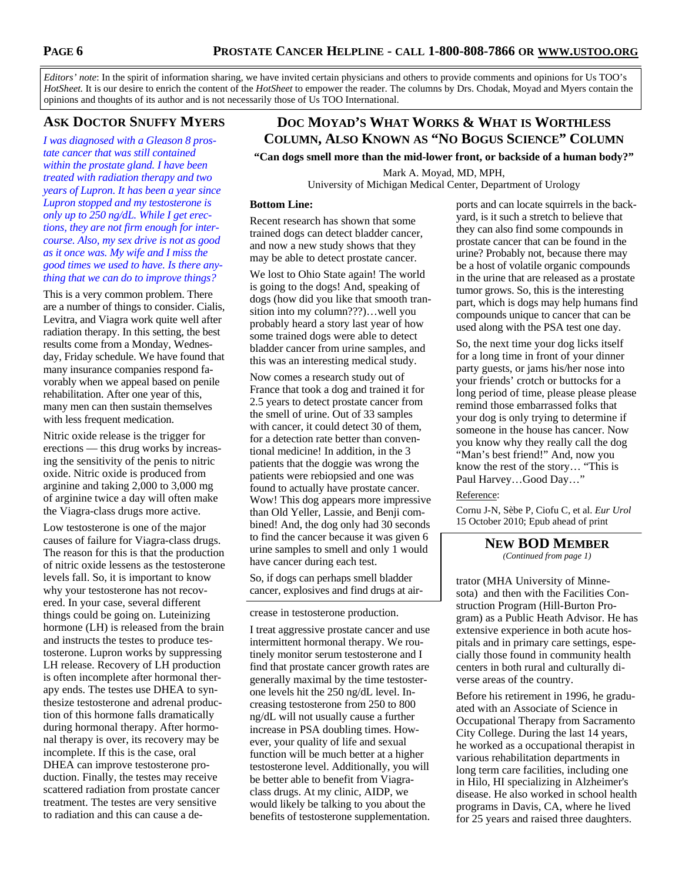*Editors' note*: In the spirit of information sharing, we have invited certain physicians and others to provide comments and opinions for Us TOO's *HotSheet.* It is our desire to enrich the content of the *HotSheet* to empower the reader. The columns by Drs. Chodak, Moyad and Myers contain the opinions and thoughts of its author and is not necessarily those of Us TOO International.

# **ASK DOCTOR SNUFFY MYERS**

*I was diagnosed with a Gleason 8 prostate cancer that was still contained within the prostate gland. I have been treated with radiation therapy and two years of Lupron. It has been a year since Lupron stopped and my testosterone is only up to 250 ng/dL. While I get erections, they are not firm enough for intercourse. Also, my sex drive is not as good as it once was. My wife and I miss the good times we used to have. Is there anything that we can do to improve things?* 

This is a very common problem. There are a number of things to consider. Cialis, Levitra, and Viagra work quite well after radiation therapy. In this setting, the best results come from a Monday, Wednesday, Friday schedule. We have found that many insurance companies respond favorably when we appeal based on penile rehabilitation. After one year of this, many men can then sustain themselves with less frequent medication.

Nitric oxide release is the trigger for erections — this drug works by increasing the sensitivity of the penis to nitric oxide. Nitric oxide is produced from arginine and taking 2,000 to 3,000 mg of arginine twice a day will often make the Viagra-class drugs more active.

Low testosterone is one of the major causes of failure for Viagra-class drugs. The reason for this is that the production of nitric oxide lessens as the testosterone levels fall. So, it is important to know why your testosterone has not recovered. In your case, several different things could be going on. Luteinizing hormone (LH) is released from the brain and instructs the testes to produce testosterone. Lupron works by suppressing LH release. Recovery of LH production is often incomplete after hormonal therapy ends. The testes use DHEA to synthesize testosterone and adrenal production of this hormone falls dramatically during hormonal therapy. After hormonal therapy is over, its recovery may be incomplete. If this is the case, oral DHEA can improve testosterone production. Finally, the testes may receive scattered radiation from prostate cancer treatment. The testes are very sensitive to radiation and this can cause a de-

# **DOC MOYAD'S WHAT WORKS & WHAT IS WORTHLESS COLUMN, ALSO KNOWN AS "NO BOGUS SCIENCE" COLUMN**

**"Can dogs smell more than the mid-lower front, or backside of a human body?"** 

Mark A. Moyad, MD, MPH, University of Michigan Medical Center, Department of Urology

#### **Bottom Line:**

Recent research has shown that some trained dogs can detect bladder cancer, and now a new study shows that they may be able to detect prostate cancer.

We lost to Ohio State again! The world is going to the dogs! And, speaking of dogs (how did you like that smooth transition into my column???)…well you probably heard a story last year of how some trained dogs were able to detect bladder cancer from urine samples, and this was an interesting medical study.

Now comes a research study out of France that took a dog and trained it for 2.5 years to detect prostate cancer from the smell of urine. Out of 33 samples with cancer, it could detect 30 of them, for a detection rate better than conventional medicine! In addition, in the 3 patients that the doggie was wrong the patients were rebiopsied and one was found to actually have prostate cancer. Wow! This dog appears more impressive than Old Yeller, Lassie, and Benji combined! And, the dog only had 30 seconds to find the cancer because it was given 6 urine samples to smell and only 1 would have cancer during each test.

So, if dogs can perhaps smell bladder cancer, explosives and find drugs at air-

#### crease in testosterone production.

I treat aggressive prostate cancer and use intermittent hormonal therapy. We routinely monitor serum testosterone and I find that prostate cancer growth rates are generally maximal by the time testosterone levels hit the 250 ng/dL level. Increasing testosterone from 250 to 800 ng/dL will not usually cause a further increase in PSA doubling times. However, your quality of life and sexual function will be much better at a higher testosterone level. Additionally, you will be better able to benefit from Viagraclass drugs. At my clinic, AIDP, we would likely be talking to you about the benefits of testosterone supplementation. ports and can locate squirrels in the backyard, is it such a stretch to believe that they can also find some compounds in prostate cancer that can be found in the urine? Probably not, because there may be a host of volatile organic compounds in the urine that are released as a prostate tumor grows. So, this is the interesting part, which is dogs may help humans find compounds unique to cancer that can be used along with the PSA test one day.

So, the next time your dog licks itself for a long time in front of your dinner party guests, or jams his/her nose into your friends' crotch or buttocks for a long period of time, please please please remind those embarrassed folks that your dog is only trying to determine if someone in the house has cancer. Now you know why they really call the dog "Man's best friend!" And, now you know the rest of the story… "This is Paul Harvey…Good Day…"

#### Reference:

Cornu J-N, Sèbe P, Ciofu C, et al. *Eur Urol* 15 October 2010; Epub ahead of print

#### **NEW BOD MEMBER** *(Continued from page 1)*

trator (MHA University of Minnesota) and then with the Facilities Construction Program (Hill-Burton Program) as a Public Heath Advisor. He has extensive experience in both acute hospitals and in primary care settings, especially those found in community health

centers in both rural and culturally di-

verse areas of the country.

Before his retirement in 1996, he graduated with an Associate of Science in Occupational Therapy from Sacramento City College. During the last 14 years, he worked as a occupational therapist in various rehabilitation departments in long term care facilities, including one in Hilo, HI specializing in Alzheimer's disease. He also worked in school health programs in Davis, CA, where he lived for 25 years and raised three daughters.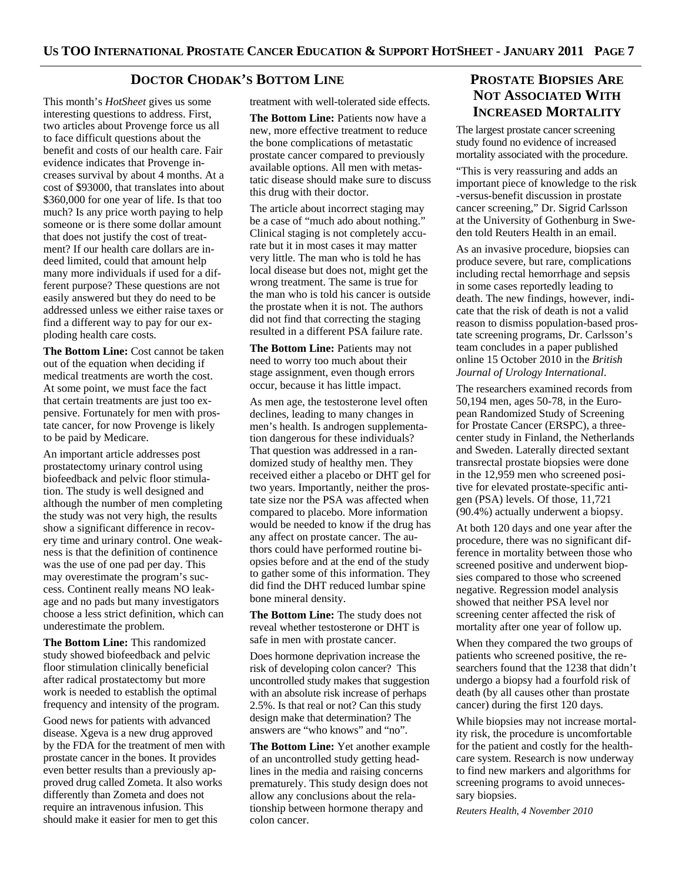#### **DOCTOR CHODAK'S BOTTOM LINE**

This month's *HotSheet* gives us some interesting questions to address. First, two articles about Provenge force us all to face difficult questions about the benefit and costs of our health care. Fair evidence indicates that Provenge increases survival by about 4 months. At a cost of \$93000, that translates into about \$360,000 for one year of life. Is that too much? Is any price worth paying to help someone or is there some dollar amount that does not justify the cost of treatment? If our health care dollars are indeed limited, could that amount help many more individuals if used for a different purpose? These questions are not easily answered but they do need to be addressed unless we either raise taxes or find a different way to pay for our exploding health care costs.

**The Bottom Line:** Cost cannot be taken out of the equation when deciding if medical treatments are worth the cost. At some point, we must face the fact that certain treatments are just too expensive. Fortunately for men with prostate cancer, for now Provenge is likely to be paid by Medicare.

An important article addresses post prostatectomy urinary control using biofeedback and pelvic floor stimulation. The study is well designed and although the number of men completing the study was not very high, the results show a significant difference in recovery time and urinary control. One weakness is that the definition of continence was the use of one pad per day. This may overestimate the program's success. Continent really means NO leakage and no pads but many investigators choose a less strict definition, which can underestimate the problem.

**The Bottom Line:** This randomized study showed biofeedback and pelvic floor stimulation clinically beneficial after radical prostatectomy but more work is needed to establish the optimal frequency and intensity of the program.

Good news for patients with advanced disease. Xgeva is a new drug approved by the FDA for the treatment of men with prostate cancer in the bones. It provides even better results than a previously approved drug called Zometa. It also works differently than Zometa and does not require an intravenous infusion. This should make it easier for men to get this

treatment with well-tolerated side effects.

**The Bottom Line:** Patients now have a new, more effective treatment to reduce the bone complications of metastatic prostate cancer compared to previously available options. All men with metastatic disease should make sure to discuss this drug with their doctor.

The article about incorrect staging may be a case of "much ado about nothing." Clinical staging is not completely accurate but it in most cases it may matter very little. The man who is told he has local disease but does not, might get the wrong treatment. The same is true for the man who is told his cancer is outside the prostate when it is not. The authors did not find that correcting the staging resulted in a different PSA failure rate.

**The Bottom Line:** Patients may not need to worry too much about their stage assignment, even though errors occur, because it has little impact.

As men age, the testosterone level often declines, leading to many changes in men's health. Is androgen supplementation dangerous for these individuals? That question was addressed in a randomized study of healthy men. They received either a placebo or DHT gel for two years. Importantly, neither the prostate size nor the PSA was affected when compared to placebo. More information would be needed to know if the drug has any affect on prostate cancer. The authors could have performed routine biopsies before and at the end of the study to gather some of this information. They did find the DHT reduced lumbar spine bone mineral density.

**The Bottom Line:** The study does not reveal whether testosterone or DHT is safe in men with prostate cancer.

Does hormone deprivation increase the risk of developing colon cancer? This uncontrolled study makes that suggestion with an absolute risk increase of perhaps 2.5%. Is that real or not? Can this study design make that determination? The answers are "who knows" and "no".

**The Bottom Line:** Yet another example of an uncontrolled study getting headlines in the media and raising concerns prematurely. This study design does not allow any conclusions about the relationship between hormone therapy and colon cancer.

# **PROSTATE BIOPSIES ARE NOT ASSOCIATED WITH INCREASED MORTALITY**

The largest prostate cancer screening study found no evidence of increased mortality associated with the procedure.

"This is very reassuring and adds an important piece of knowledge to the risk -versus-benefit discussion in prostate cancer screening," Dr. Sigrid Carlsson at the University of Gothenburg in Sweden told Reuters Health in an email.

As an invasive procedure, biopsies can produce severe, but rare, complications including rectal hemorrhage and sepsis in some cases reportedly leading to death. The new findings, however, indicate that the risk of death is not a valid reason to dismiss population-based prostate screening programs, Dr. Carlsson's team concludes in a paper published online 15 October 2010 in the *British Journal of Urology International*.

The researchers examined records from 50,194 men, ages 50-78, in the European Randomized Study of Screening for Prostate Cancer (ERSPC), a threecenter study in Finland, the Netherlands and Sweden. Laterally directed sextant transrectal prostate biopsies were done in the 12,959 men who screened positive for elevated prostate-specific antigen (PSA) levels. Of those, 11,721 (90.4%) actually underwent a biopsy.

At both 120 days and one year after the procedure, there was no significant difference in mortality between those who screened positive and underwent biopsies compared to those who screened negative. Regression model analysis showed that neither PSA level nor screening center affected the risk of mortality after one year of follow up.

When they compared the two groups of patients who screened positive, the researchers found that the 1238 that didn't undergo a biopsy had a fourfold risk of death (by all causes other than prostate cancer) during the first 120 days.

While biopsies may not increase mortality risk, the procedure is uncomfortable for the patient and costly for the healthcare system. Research is now underway to find new markers and algorithms for screening programs to avoid unnecessary biopsies.

*Reuters Health, 4 November 2010*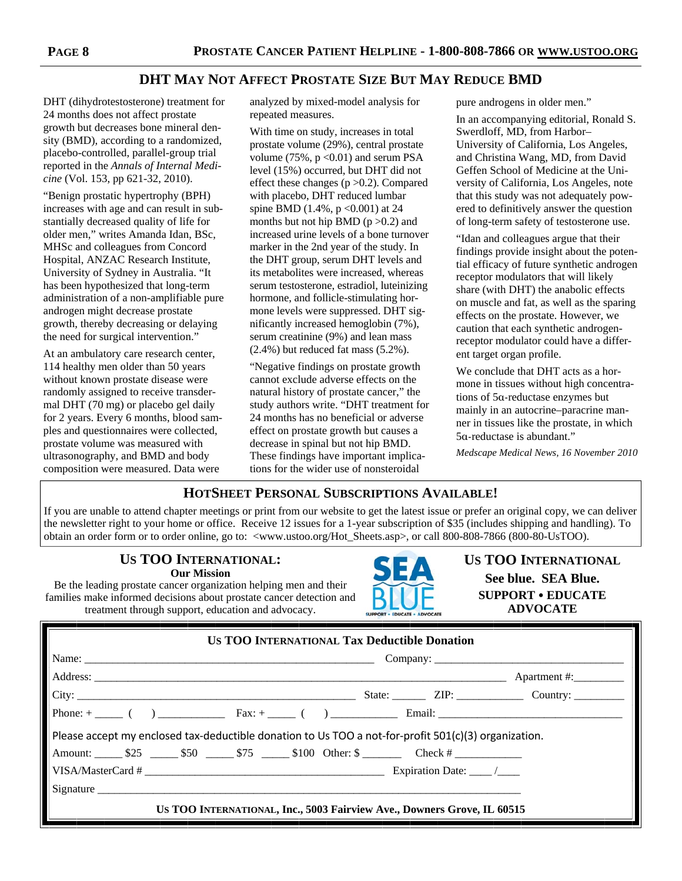## **DHT MAY NOT AFFECT PROSTATE SIZE BUT MAY REDUCE BMD**

DHT (dihydrotestosterone) treatment for 24 months does not affect prostate growth but decreases bone mineral density (BMD), according to a randomized, placebo-controlled, parallel-group trial reported in the *Annals of Internal Medicine* (Vol. 153, pp 621-32, 2010).

"Benign prostatic hypertrophy (BPH) increases with age and can result in substantially decreased quality of life for older men," writes Amanda Idan, BSc, MHSc and colleagues from Concord Hospital, ANZAC Research Institute, University of Sydney in Australia. "It has been hypothesized that long-term administration of a non-amplifiable pure androgen might decrease prostate growth, thereby decreasing or delaying the need for surgical intervention."

At an ambulatory care research center, 114 healthy men older than 50 years without known prostate disease were randomly assigned to receive transdermal DHT (70 mg) or placebo gel daily for 2 years. Every 6 months, blood samples and questionnaires were collected, prostate volume was measured with ultrasonography, and BMD and body composition were measured. Data were

analyzed by mixed-model analysis for repeated measures.

With time on study, increases in total prostate volume (29%), central prostate volume (75%,  $p < 0.01$ ) and serum PSA level (15%) occurred, but DHT did not effect these changes (p >0.2). Compared with placebo, DHT reduced lumbar spine BMD (1.4%, p < 0.001) at 24 months but not hip BMD ( $p > 0.2$ ) and increased urine levels of a bone turnover marker in the 2nd year of the study. In the DHT group, serum DHT levels and its metabolites were increased, whereas serum testosterone, estradiol, luteinizing hormone, and follicle-stimulating hormone levels were suppressed. DHT significantly increased hemoglobin (7%), serum creatinine (9%) and lean mass  $(2.4\%)$  but reduced fat mass  $(5.2\%)$ .

"Negative findings on prostate growth cannot exclude adverse effects on the natural history of prostate cancer," the study authors write. "DHT treatment for 24 months has no beneficial or adverse effect on prostate growth but causes a decrease in spinal but not hip BMD. These findings have important implications for the wider use of nonsteroidal

pure androgens in older men."

In an accompanying editorial, Ronald S. Swerdloff, MD, from Harbor– University of California, Los Angeles, and Christina Wang, MD, from David Geffen School of Medicine at the University of California, Los Angeles, note that this study was not adequately powered to definitively answer the question of long-term safety of testosterone use.

"Idan and colleagues argue that their findings provide insight about the potential efficacy of future synthetic androgen receptor modulators that will likely share (with DHT) the anabolic effects on muscle and fat, as well as the sparing effects on the prostate. However, we caution that each synthetic androgenreceptor modulator could have a different target organ profile.

We conclude that DHT acts as a hormone in tissues without high concentrations of 5α-reductase enzymes but mainly in an autocrine–paracrine manner in tissues like the prostate, in which 5α-reductase is abundant."

*Medscape Medical News, 16 November 2010* 

### **HOTSHEET PERSONAL SUBSCRIPTIONS AVAILABLE!**

If you are unable to attend chapter meetings or print from our website to get the latest issue or prefer an original copy, we can deliver the newsletter right to your home or office. Receive 12 issues for a 1-year subscription of \$35 (includes shipping and handling). To obtain an order form or to order online, go to: <www.ustoo.org/Hot\_Sheets.asp>, or call 800-808-7866 (800-80-UsTOO).

#### **US TOO INTERNATIONAL: Our Mission**

Be the leading prostate cancer organization helping men and their families make informed decisions about prostate cancer detection and treatment through support, education and advocacy.



**US TOO INTERNATIONAL See blue. SEA Blue. SUPPORT EDUCATE ADVOCATE** 

| <b>US TOO INTERNATIONAL Tax Deductible Donation</b>                                                  |  |  |  |  |  |
|------------------------------------------------------------------------------------------------------|--|--|--|--|--|
|                                                                                                      |  |  |  |  |  |
|                                                                                                      |  |  |  |  |  |
|                                                                                                      |  |  |  |  |  |
|                                                                                                      |  |  |  |  |  |
| Please accept my enclosed tax-deductible donation to Us TOO a not-for-profit 501(c)(3) organization. |  |  |  |  |  |
|                                                                                                      |  |  |  |  |  |
|                                                                                                      |  |  |  |  |  |
| Signature                                                                                            |  |  |  |  |  |
| US TOO INTERNATIONAL, Inc., 5003 Fairview Ave., Downers Grove, IL 60515                              |  |  |  |  |  |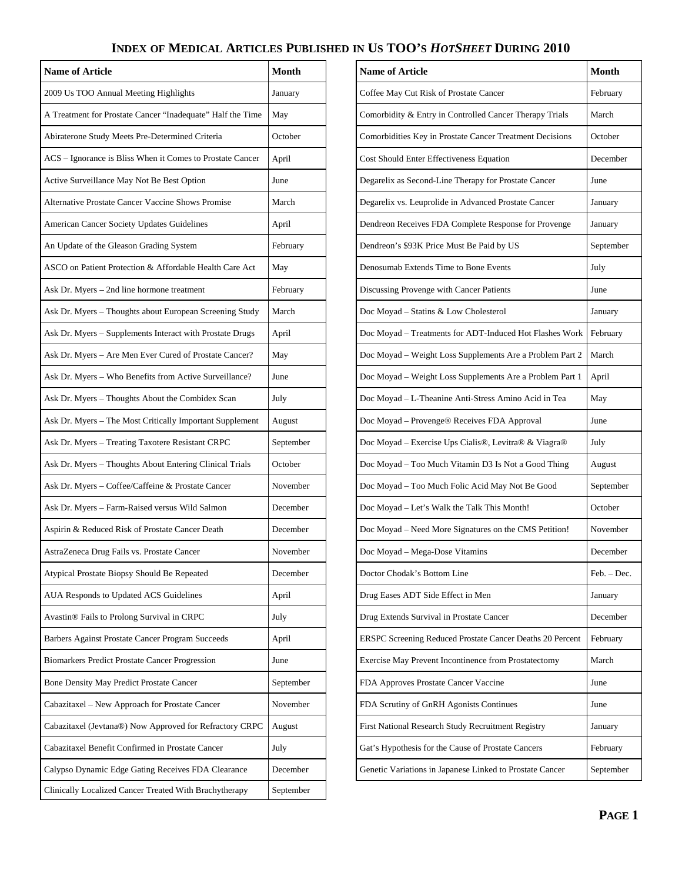# **INDEX OF MEDICAL ARTICLES PUBLISHED IN US TOO'S** *HOTSHEET* **DURING 2010**

| <b>Name of Article</b>                                     | <b>Month</b> | <b>Name of Article</b>                                    | Month       |
|------------------------------------------------------------|--------------|-----------------------------------------------------------|-------------|
| 2009 Us TOO Annual Meeting Highlights                      | January      | Coffee May Cut Risk of Prostate Cancer                    | February    |
| A Treatment for Prostate Cancer "Inadequate" Half the Time | May          | Comorbidity & Entry in Controlled Cancer Therapy Trials   | March       |
| Abiraterone Study Meets Pre-Determined Criteria            | October      | Comorbidities Key in Prostate Cancer Treatment Decisions  | October     |
| ACS – Ignorance is Bliss When it Comes to Prostate Cancer  | April        | Cost Should Enter Effectiveness Equation                  | December    |
| Active Surveillance May Not Be Best Option                 | June         | Degarelix as Second-Line Therapy for Prostate Cancer      | June        |
| <b>Alternative Prostate Cancer Vaccine Shows Promise</b>   | March        | Degarelix vs. Leuprolide in Advanced Prostate Cancer      | January     |
| American Cancer Society Updates Guidelines                 | April        | Dendreon Receives FDA Complete Response for Provenge      | January     |
| An Update of the Gleason Grading System                    | February     | Dendreon's \$93K Price Must Be Paid by US                 | September   |
| ASCO on Patient Protection & Affordable Health Care Act    | May          | Denosumab Extends Time to Bone Events                     | July        |
| Ask Dr. Myers - 2nd line hormone treatment                 | February     | Discussing Provenge with Cancer Patients                  | June        |
| Ask Dr. Myers - Thoughts about European Screening Study    | March        | Doc Moyad - Statins & Low Cholesterol                     | January     |
| Ask Dr. Myers - Supplements Interact with Prostate Drugs   | April        | Doc Moyad - Treatments for ADT-Induced Hot Flashes Work   | February    |
| Ask Dr. Myers - Are Men Ever Cured of Prostate Cancer?     | May          | Doc Moyad - Weight Loss Supplements Are a Problem Part 2  | March       |
| Ask Dr. Myers - Who Benefits from Active Surveillance?     | June         | Doc Moyad - Weight Loss Supplements Are a Problem Part 1  | April       |
| Ask Dr. Myers - Thoughts About the Combidex Scan           | July         | Doc Moyad - L-Theanine Anti-Stress Amino Acid in Tea      | May         |
| Ask Dr. Myers - The Most Critically Important Supplement   | August       | Doc Moyad - Provenge® Receives FDA Approval               | June        |
| Ask Dr. Myers - Treating Taxotere Resistant CRPC           | September    | Doc Moyad - Exercise Ups Cialis®, Levitra® & Viagra®      | July        |
| Ask Dr. Myers - Thoughts About Entering Clinical Trials    | October      | Doc Moyad - Too Much Vitamin D3 Is Not a Good Thing       | August      |
| Ask Dr. Myers - Coffee/Caffeine & Prostate Cancer          | November     | Doc Moyad - Too Much Folic Acid May Not Be Good           | September   |
| Ask Dr. Myers - Farm-Raised versus Wild Salmon             | December     | Doc Moyad - Let's Walk the Talk This Month!               | October     |
| Aspirin & Reduced Risk of Prostate Cancer Death            | December     | Doc Moyad - Need More Signatures on the CMS Petition!     | November    |
| AstraZeneca Drug Fails vs. Prostate Cancer                 | November     | Doc Moyad - Mega-Dose Vitamins                            | December    |
| Atypical Prostate Biopsy Should Be Repeated                | December     | Doctor Chodak's Bottom Line                               | Feb. - Dec. |
| AUA Responds to Updated ACS Guidelines                     | April        | Drug Eases ADT Side Effect in Men                         | January     |
| Avastin® Fails to Prolong Survival in CRPC                 | July         | Drug Extends Survival in Prostate Cancer                  | December    |
| Barbers Against Prostate Cancer Program Succeeds           | April        | ERSPC Screening Reduced Prostate Cancer Deaths 20 Percent | February    |
| Biomarkers Predict Prostate Cancer Progression             | June         | Exercise May Prevent Incontinence from Prostatectomy      | March       |
| Bone Density May Predict Prostate Cancer                   | September    | FDA Approves Prostate Cancer Vaccine                      | June        |
| Cabazitaxel - New Approach for Prostate Cancer             | November     | FDA Scrutiny of GnRH Agonists Continues                   | June        |
| Cabazitaxel (Jevtana®) Now Approved for Refractory CRPC    | August       | First National Research Study Recruitment Registry        | January     |
| Cabazitaxel Benefit Confirmed in Prostate Cancer           | July         | Gat's Hypothesis for the Cause of Prostate Cancers        | February    |
| Calypso Dynamic Edge Gating Receives FDA Clearance         | December     | Genetic Variations in Japanese Linked to Prostate Cancer  | September   |
| Clinically Localized Cancer Treated With Brachytherapy     | September    |                                                           |             |

| <b>Name of Article</b>                                    | <b>Month</b> |
|-----------------------------------------------------------|--------------|
| Coffee May Cut Risk of Prostate Cancer                    | February     |
| Comorbidity & Entry in Controlled Cancer Therapy Trials   | March        |
| Comorbidities Key in Prostate Cancer Treatment Decisions  | October      |
| Cost Should Enter Effectiveness Equation                  | December     |
| Degarelix as Second-Line Therapy for Prostate Cancer      | June         |
| Degarelix vs. Leuprolide in Advanced Prostate Cancer      | January      |
| Dendreon Receives FDA Complete Response for Provenge      | January      |
| Dendreon's \$93K Price Must Be Paid by US                 | September    |
| Denosumab Extends Time to Bone Events                     | July         |
| Discussing Provenge with Cancer Patients                  | June         |
| Doc Moyad - Statins & Low Cholesterol                     | January      |
| Doc Moyad - Treatments for ADT-Induced Hot Flashes Work   | February     |
| Doc Moyad - Weight Loss Supplements Are a Problem Part 2  | March        |
| Doc Moyad - Weight Loss Supplements Are a Problem Part 1  | April        |
| Doc Moyad - L-Theanine Anti-Stress Amino Acid in Tea      | May          |
| Doc Moyad - Provenge® Receives FDA Approval               | June         |
| Doc Moyad - Exercise Ups Cialis®, Levitra® & Viagra®      | July         |
| Doc Moyad - Too Much Vitamin D3 Is Not a Good Thing       | August       |
| Doc Moyad - Too Much Folic Acid May Not Be Good           | September    |
| Doc Moyad - Let's Walk the Talk This Month!               | October      |
| Doc Moyad - Need More Signatures on the CMS Petition!     | November     |
| Doc Moyad - Mega-Dose Vitamins                            | December     |
| Doctor Chodak's Bottom Line                               | Feb. - Dec.  |
| Drug Eases ADT Side Effect in Men                         | January      |
| Drug Extends Survival in Prostate Cancer                  | December     |
| ERSPC Screening Reduced Prostate Cancer Deaths 20 Percent | February     |
| Exercise May Prevent Incontinence from Prostatectomy      | March        |
| FDA Approves Prostate Cancer Vaccine                      | June         |
| FDA Scrutiny of GnRH Agonists Continues                   | June         |
| First National Research Study Recruitment Registry        | January      |
| Gat's Hypothesis for the Cause of Prostate Cancers        | February     |
| Genetic Variations in Japanese Linked to Prostate Cancer  | September    |